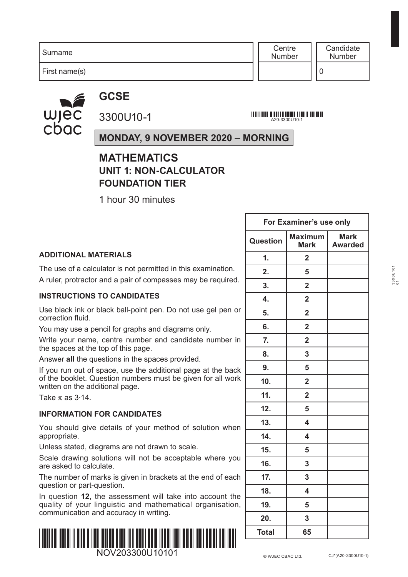**Centre** Number

First name(s)

wjec<br>cbac

**GCSE** 3300U10-1

A20-3300U10-1

## **MONDAY, 9 NOVEMBER 2020 – MORNING**

## **MATHEMATICS UNIT 1: NON-CALCULATOR FOUNDATION TIER**

1 hour 30 minutes

|                                                                                                                | For Examiner's use only |                               |                               |
|----------------------------------------------------------------------------------------------------------------|-------------------------|-------------------------------|-------------------------------|
|                                                                                                                | Question                | <b>Maximum</b><br><b>Mark</b> | <b>Mark</b><br><b>Awarded</b> |
| <b>ADDITIONAL MATERIALS</b>                                                                                    | $\mathbf{1}$ .          | $\mathbf{2}$                  |                               |
| The use of a calculator is not permitted in this examination.                                                  | 2.                      | 5                             |                               |
| A ruler, protractor and a pair of compasses may be required.                                                   | 3.                      | $\overline{2}$                |                               |
| <b>INSTRUCTIONS TO CANDIDATES</b>                                                                              | 4.                      | $\overline{2}$                |                               |
| Use black ink or black ball-point pen. Do not use gel pen or<br>correction fluid.                              | 5.                      | $\overline{2}$                |                               |
| You may use a pencil for graphs and diagrams only.                                                             | 6.                      | $\overline{2}$                |                               |
| Write your name, centre number and candidate number in<br>the spaces at the top of this page.                  | 7.                      | $\overline{2}$                |                               |
| Answer all the questions in the spaces provided.                                                               | 8.                      | $\overline{\mathbf{3}}$       |                               |
| If you run out of space, use the additional page at the back                                                   | 9.                      | 5                             |                               |
| of the booklet. Question numbers must be given for all work<br>written on the additional page.                 | 10 <sub>1</sub>         | $\overline{2}$                |                               |
| Take $\pi$ as 3.14.                                                                                            | 11.                     | $\overline{2}$                |                               |
| <b>INFORMATION FOR CANDIDATES</b>                                                                              | 12.                     | 5                             |                               |
| You should give details of your method of solution when                                                        | 13.                     | 4                             |                               |
| appropriate.                                                                                                   | 14.                     | $\overline{\mathbf{4}}$       |                               |
| Unless stated, diagrams are not drawn to scale.                                                                | 15.                     | 5                             |                               |
| Scale drawing solutions will not be acceptable where you<br>are asked to calculate.                            | 16.                     | $\mathbf{3}$                  |                               |
| The number of marks is given in brackets at the end of each                                                    | 17.                     | $\overline{3}$                |                               |
| question or part-question.<br>In question 12, the assessment will take into account the                        | 18.                     | 4                             |                               |
| quality of your linguistic and mathematical organisation,                                                      | 19.                     | 5                             |                               |
| communication and accuracy in writing.                                                                         | 20.                     | $\mathbf{3}$                  |                               |
| <u>i indilini mulai li milaid ildil mulan lilan lilli mulli mula lilani limil mulai limil mulai limi lauli</u> | Total                   | 65                            |                               |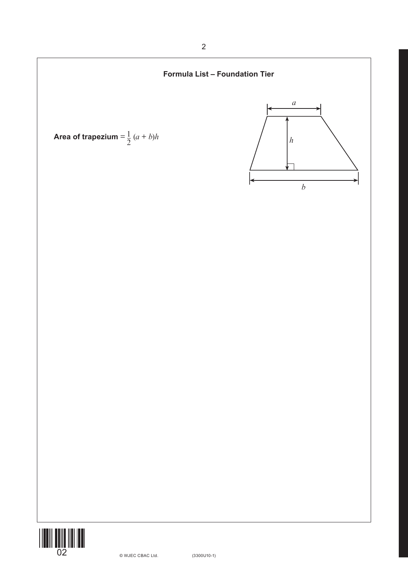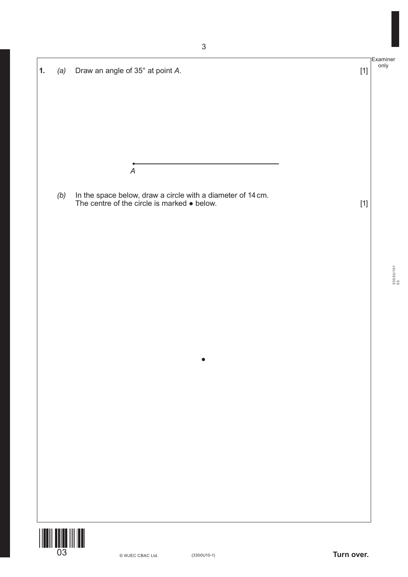|    |     |                                                                                                                               |       | Examiner    |
|----|-----|-------------------------------------------------------------------------------------------------------------------------------|-------|-------------|
| 1. | (a) | Draw an angle of 35° at point A.                                                                                              | $[1]$ | only        |
|    |     |                                                                                                                               |       |             |
|    |     |                                                                                                                               |       |             |
|    |     |                                                                                                                               |       |             |
|    |     |                                                                                                                               |       |             |
|    |     |                                                                                                                               |       |             |
|    |     |                                                                                                                               |       |             |
|    |     | $\boldsymbol{A}$                                                                                                              |       |             |
|    | (b) |                                                                                                                               |       |             |
|    |     | In the space below, draw a circle with a diameter of $14 \text{ cm}$ .<br>The centre of the circle is marked $\bullet$ below. | $[1]$ |             |
|    |     |                                                                                                                               |       |             |
|    |     |                                                                                                                               |       |             |
|    |     |                                                                                                                               |       |             |
|    |     |                                                                                                                               |       |             |
|    |     |                                                                                                                               |       | $3300$ U101 |
|    |     |                                                                                                                               |       |             |
|    |     |                                                                                                                               |       |             |
|    |     |                                                                                                                               |       |             |
|    |     |                                                                                                                               |       |             |
|    |     |                                                                                                                               |       |             |
|    |     |                                                                                                                               |       |             |
|    |     |                                                                                                                               |       |             |
|    |     |                                                                                                                               |       |             |
|    |     |                                                                                                                               |       |             |
|    |     |                                                                                                                               |       |             |
|    |     |                                                                                                                               |       |             |
|    |     |                                                                                                                               |       |             |
|    |     |                                                                                                                               |       |             |
|    |     |                                                                                                                               |       |             |
|    |     |                                                                                                                               |       |             |
|    |     |                                                                                                                               |       |             |
|    |     |                                                                                                                               |       |             |
|    |     |                                                                                                                               |       |             |
|    |     | Turn over.<br>$(3300U10-1)$<br>© WJEC CBAC Ltd.                                                                               |       |             |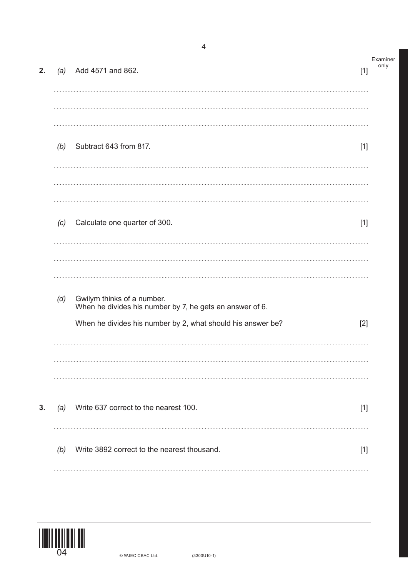| 2. | (a) | Add 4571 and 862.                                                                                                                                     | $[1]$ | Examiner<br>only |
|----|-----|-------------------------------------------------------------------------------------------------------------------------------------------------------|-------|------------------|
|    |     | (b) Subtract $643$ from 817.                                                                                                                          | $[1]$ |                  |
|    | (c) | Calculate one quarter of 300.                                                                                                                         | $[1]$ |                  |
|    | (d) | Gwilym thinks of a number.<br>When he divides his number by 7, he gets an answer of 6.<br>When he divides his number by 2, what should his answer be? | $[2]$ |                  |
| 3. | (a) | Write 637 correct to the nearest 100.                                                                                                                 | $[1]$ |                  |
|    | (b) | Write 3892 correct to the nearest thousand.                                                                                                           | $[1]$ |                  |
|    |     |                                                                                                                                                       |       |                  |

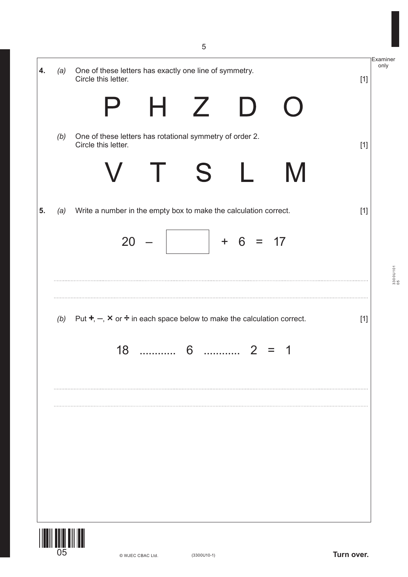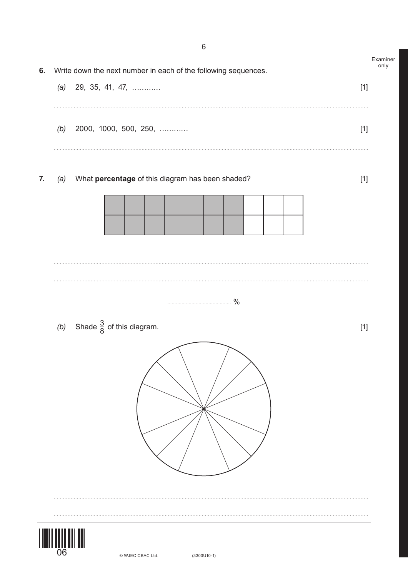

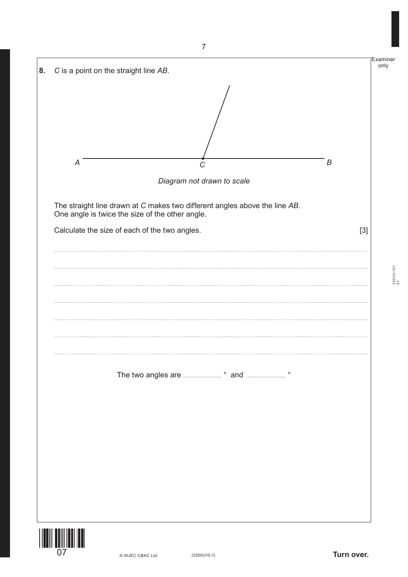

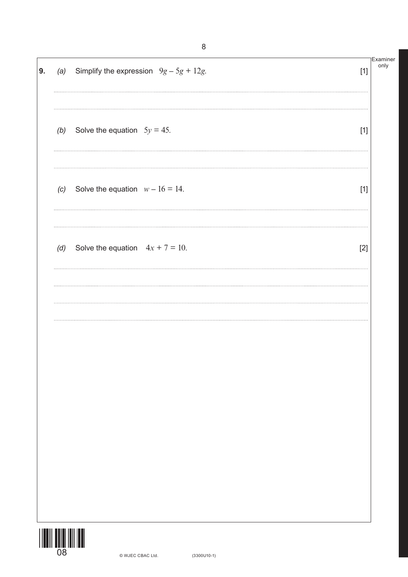| 9. |                            | (a) Simplify the expression $9g - 5g + 12g$ . | $[1]$ | Examiner<br>only |
|----|----------------------------|-----------------------------------------------|-------|------------------|
|    |                            | (b) Solve the equation $5y = 45$ .            | $[1]$ |                  |
|    | (c)                        | Solve the equation $w - 16 = 14$ .            | $[1]$ |                  |
|    |                            | (d) Solve the equation $4x + 7 = 10$ .        | $[2]$ |                  |
|    |                            |                                               |       |                  |
|    |                            |                                               |       |                  |
|    |                            |                                               |       |                  |
|    |                            |                                               |       |                  |
|    | <b>TIMIN DININ INI INI</b> |                                               |       |                  |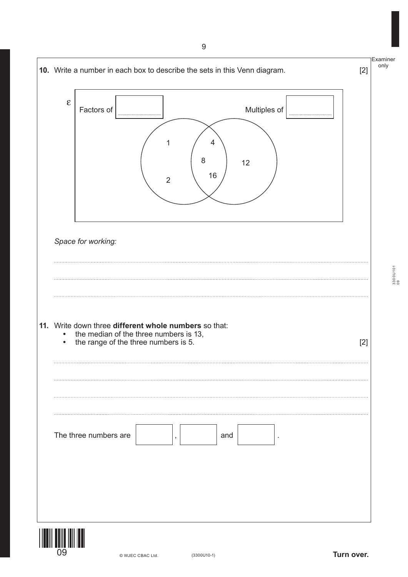

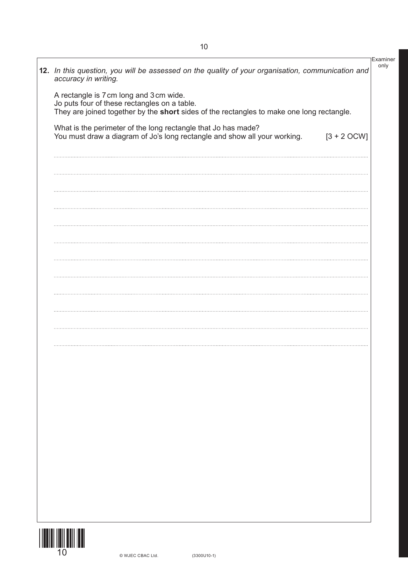| What is the perimeter of the long rectangle that Jo has made?<br>You must draw a diagram of Jo's long rectangle and show all your working. | $[3 + 2 OCW]$ |
|--------------------------------------------------------------------------------------------------------------------------------------------|---------------|
|                                                                                                                                            |               |
|                                                                                                                                            |               |
|                                                                                                                                            |               |
|                                                                                                                                            |               |
|                                                                                                                                            |               |
|                                                                                                                                            |               |
|                                                                                                                                            |               |
|                                                                                                                                            |               |
|                                                                                                                                            |               |
|                                                                                                                                            |               |
|                                                                                                                                            |               |
|                                                                                                                                            |               |
|                                                                                                                                            |               |
|                                                                                                                                            |               |
|                                                                                                                                            |               |
|                                                                                                                                            |               |
|                                                                                                                                            |               |
|                                                                                                                                            |               |
|                                                                                                                                            |               |
|                                                                                                                                            |               |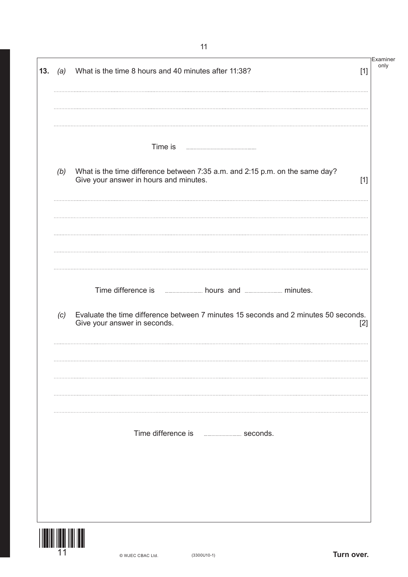| 13. | (a) | What is the time 8 hours and 40 minutes after 11:38?                                                                                                                                                                                                                                                                                                        | $[1]$ | Examiner<br>only |
|-----|-----|-------------------------------------------------------------------------------------------------------------------------------------------------------------------------------------------------------------------------------------------------------------------------------------------------------------------------------------------------------------|-------|------------------|
|     | (b) | Time is<br>What is the time difference between 7:35 a.m. and 2:15 p.m. on the same day?<br>Give your answer in hours and minutes.                                                                                                                                                                                                                           | $[1]$ |                  |
|     |     |                                                                                                                                                                                                                                                                                                                                                             |       |                  |
|     | (c) | Time difference is <b>with a set of the contract of the contract of the contract of the contract of the contract of the contract of the contract of the contract of the contract of the contract of the contract of the contract</b><br>Evaluate the time difference between 7 minutes 15 seconds and 2 minutes 50 seconds.<br>Give your answer in seconds. | $[2]$ |                  |
|     |     | Time difference is<br><b>EXAMPLE 2014</b> Seconds.                                                                                                                                                                                                                                                                                                          |       |                  |
|     |     |                                                                                                                                                                                                                                                                                                                                                             |       |                  |

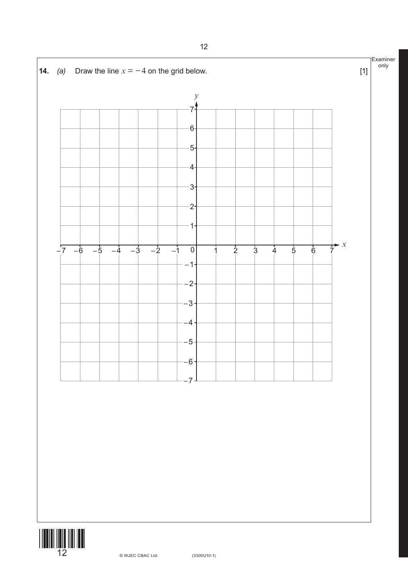

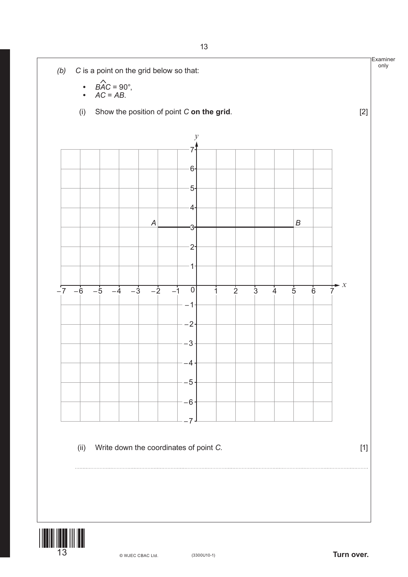

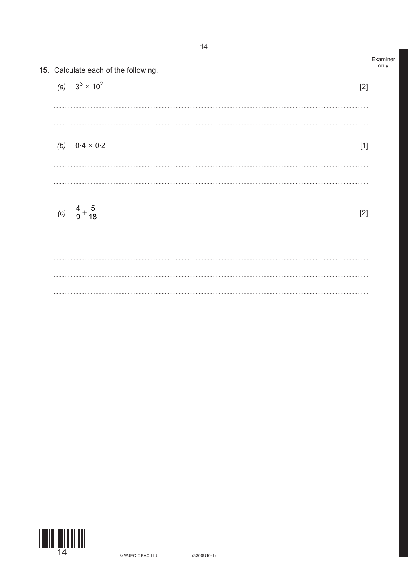| 15. Calculate each of the following. |       |
|--------------------------------------|-------|
| (a) $3^3 \times 10^2$                | $[2]$ |
| <br>(b) $0.4 \times 0.2$             | $[1]$ |
| (c) $\frac{4}{9} + \frac{5}{18}$     | $[2]$ |
|                                      |       |
|                                      |       |
|                                      |       |
|                                      |       |
|                                      |       |
|                                      |       |
|                                      |       |

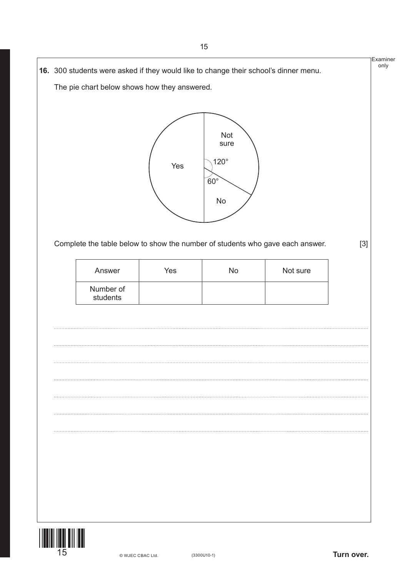

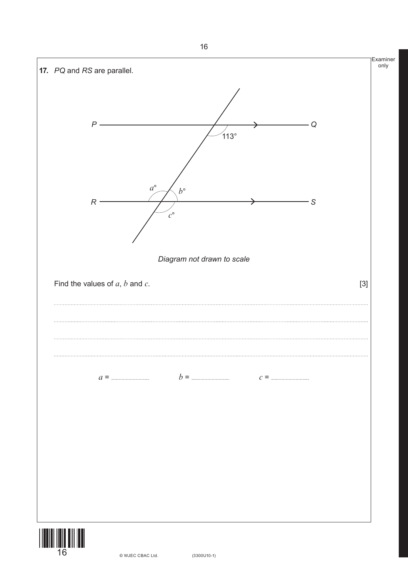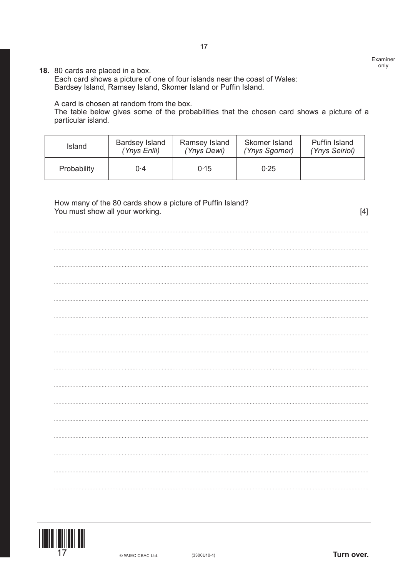## Examiner only **18.** 80 cards are placed in a box. Each card shows a picture of one of four islands near the coast of Wales: Bardsey Island, Ramsey Island, Skomer Island or Puffin Island. A card is chosen at random from the box. The table below gives some of the probabilities that the chosen card shows a picture of a particular island. Island Bardsey Island Ramsey Island Skomer Island Puffin Island *(Ynys Enlli) (Ynys Dewi) (Ynys Sgomer) (Ynys Seiriol)* Probability 0.4 0.15 0.25 How many of the 80 cards show a picture of Puffin Island? You must show all your working. The same state of the state of the state of the state of the state of the state of the state of the state of the state of the state of the state of the state of the state of the state of the

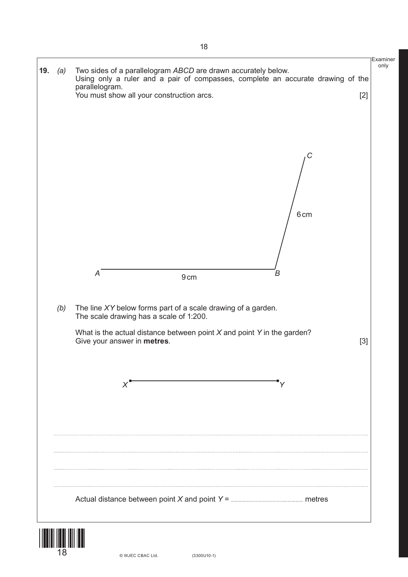

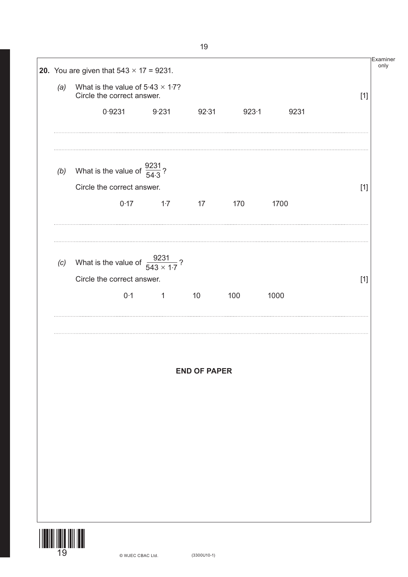| (a) | What is the value of $5.43 \times 1.7$ ?<br>Circle the correct answer. |          |                     |       |      | $[1]$ |
|-----|------------------------------------------------------------------------|----------|---------------------|-------|------|-------|
|     | 0.9231                                                                 | 9.231    | 92.31               | 923.1 | 9231 |       |
|     | (b) What is the value of $\frac{9231}{54.3}$ ?                         |          |                     |       |      |       |
|     | Circle the correct answer.                                             |          |                     |       |      | $[1]$ |
|     | 0.17                                                                   | 1.7      | 17                  | 170   | 1700 |       |
|     | (c) What is the value of $\frac{9231}{543 \times 1.7}$ ?               |          |                     |       |      |       |
|     | Circle the correct answer.                                             |          |                     |       |      | $[1]$ |
|     | 0.1                                                                    | $\sim$ 1 | 10                  | 100   | 1000 |       |
|     |                                                                        |          | <b>END OF PAPER</b> |       |      |       |
|     |                                                                        |          |                     |       |      |       |
|     |                                                                        |          |                     |       |      |       |
|     |                                                                        |          |                     |       |      |       |
|     |                                                                        |          |                     |       |      |       |
|     |                                                                        |          |                     |       |      |       |